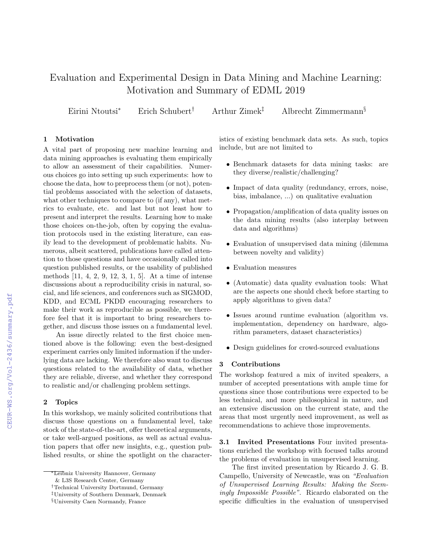# Evaluation and Experimental Design in Data Mining and Machine Learning: Motivation and Summary of EDML 2019

Eirini Ntoutsi<sup>∗</sup> Erich Schubert† Arthur Zimek‡ Albrecht Zimmermann§

## 1 Motivation

A vital part of proposing new machine learning and data mining approaches is evaluating them empirically to allow an assessment of their capabilities. Numerous choices go into setting up such experiments: how to choose the data, how to preprocess them (or not), potential problems associated with the selection of datasets, what other techniques to compare to (if any), what metrics to evaluate, etc. and last but not least how to present and interpret the results. Learning how to make those choices on-the-job, often by copying the evaluation protocols used in the existing literature, can easily lead to the development of problematic habits. Numerous, albeit scattered, publications have called attention to those questions and have occasionally called into question published results, or the usability of published methods [11, 4, 2, 9, 12, 3, 1, 5]. At a time of intense discussions about a reproducibility crisis in natural, social, and life sciences, and conferences such as SIGMOD, KDD, and ECML PKDD encouraging researchers to make their work as reproducible as possible, we therefore feel that it is important to bring researchers together, and discuss those issues on a fundamental level.

An issue directly related to the first choice mentioned above is the following: even the best-designed experiment carries only limited information if the underlying data are lacking. We therefore also want to discuss questions related to the availability of data, whether they are reliable, diverse, and whether they correspond to realistic and/or challenging problem settings.

## 2 Topics

In this workshop, we mainly solicited contributions that discuss those questions on a fundamental level, take stock of the state-of-the-art, offer theoretical arguments, or take well-argued positions, as well as actual evaluation papers that offer new insights, e.g., question published results, or shine the spotlight on the character-

istics of existing benchmark data sets. As such, topics include, but are not limited to

- Benchmark datasets for data mining tasks: are they diverse/realistic/challenging?
- Impact of data quality (redundancy, errors, noise, bias, imbalance, ...) on qualitative evaluation
- Propagation/amplification of data quality issues on the data mining results (also interplay between data and algorithms)
- Evaluation of unsupervised data mining (dilemma between novelty and validity)
- Evaluation measures
- (Automatic) data quality evaluation tools: What are the aspects one should check before starting to apply algorithms to given data?
- Issues around runtime evaluation (algorithm vs. implementation, dependency on hardware, algorithm parameters, dataset characteristics)
- Design guidelines for crowd-sourced evaluations

## 3 Contributions

The workshop featured a mix of invited speakers, a number of accepted presentations with ample time for questions since those contributions were expected to be less technical, and more philosophical in nature, and an extensive discussion on the current state, and the areas that most urgently need improvement, as well as recommendations to achieve those improvements.

3.1 Invited Presentations Four invited presentations enriched the workshop with focused talks around the problems of evaluation in unsupervised learning.

The first invited presentation by Ricardo J. G. B. Campello, University of Newcastle, was on "Evaluation of Unsupervised Learning Results: Making the Seemingly Impossible Possible". Ricardo elaborated on the specific difficulties in the evaluation of unsupervised

<sup>∗</sup>Leibniz University Hannover, Germany

<sup>&</sup>amp; L3S Research Center, Germany

<sup>†</sup>Technical University Dortmund, Germany

<sup>‡</sup>University of Southern Denmark, Denmark

<sup>§</sup>University Caen Normandy, France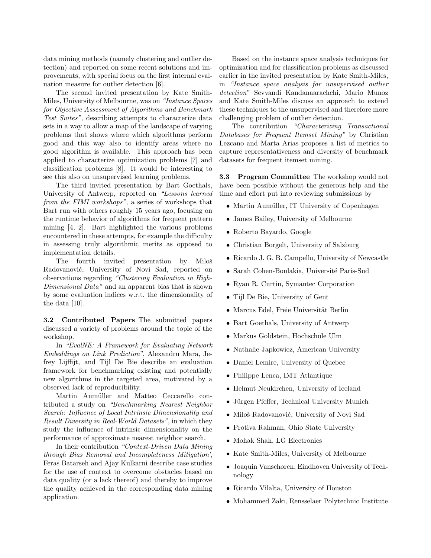data mining methods (namely clustering and outlier detection) and reported on some recent solutions and improvements, with special focus on the first internal evaluation measure for outlier detection [6].

The second invited presentation by Kate Smith-Miles, University of Melbourne, was on "Instance Spaces for Objective Assessment of Algorithms and Benchmark Test Suites", describing attempts to characterize data sets in a way to allow a map of the landscape of varying problems that shows where which algorithms perform good and this way also to identify areas where no good algorithm is available. This approach has been applied to characterize optimization problems [7] and classification problems [8]. It would be interesting to see this also on unsupervised learning problems.

The third invited presentation by Bart Goethals, University of Antwerp, reported on "Lessons learned from the FIMI workshops", a series of workshops that Bart run with others roughly 15 years ago, focusing on the runtime behavior of algorithms for frequent pattern mining [4, 2]. Bart highlighted the various problems encountered in these attempts, for example the difficulty in assessing truly algorithmic merits as opposed to implementation details.

The fourth invited presentation by Miloš Radovanović, University of Novi Sad, reported on observations regarding "Clustering Evaluation in High-Dimensional Data" and an apparent bias that is shown by some evaluation indices w.r.t. the dimensionality of the data [10].

3.2 Contributed Papers The submitted papers discussed a variety of problems around the topic of the workshop.

In "EvalNE: A Framework for Evaluating Network Embeddings on Link Prediction", Alexandru Mara, Jefrey Lijffijt, and Tijl De Bie describe an evaluation framework for benchmarking existing and potentially new algorithms in the targeted area, motivated by a observed lack of reproducibility.

Martin Aumüller and Matteo Ceccarello contributed a study on "Benchmarking Nearest Neighbor Search: Influence of Local Intrinsic Dimensionality and Result Diversity in Real-World Datasets", in which they study the influence of intrinsic dimensionality on the performance of approximate nearest neighbor search.

In their contribution "Context-Driven Data Mining through Bias Removal and Incompleteness Mitigation', Feras Batarseh and Ajay Kulkarni describe case studies for the use of context to overcome obstacles based on data quality (or a lack thereof) and thereby to improve the quality achieved in the corresponding data mining application.

Based on the instance space analysis techniques for optimization and for classification problems as discussed earlier in the invited presentation by Kate Smith-Miles, in "Instance space analysis for unsupervised outlier detection" Sevvandi Kandanaarachchi, Mario Munoz and Kate Smith-Miles discuss an approach to extend these techniques to the unsupervised and therefore more challenging problem of outlier detection.

The contribution "Characterizing Transactional Databases for Frequent Itemset Mining" by Christian Lezcano and Marta Arias proposes a list of metrics to capture representativeness and diversity of benchmark datasets for frequent itemset mining.

3.3 Program Committee The workshop would not have been possible without the generous help and the time and effort put into reviewing submissions by

- Martin Aumüller, IT University of Copenhagen
- James Bailey, University of Melbourne
- Roberto Bayardo, Google
- Christian Borgelt, University of Salzburg
- Ricardo J. G. B. Campello, University of Newcastle
- Sarah Cohen-Boulakia, Université Paris-Sud
- Ryan R. Curtin, Symantec Corporation
- Tijl De Bie, University of Gent
- Marcus Edel, Freie Universität Berlin
- Bart Goethals, University of Antwerp
- Markus Goldstein, Hochschule Ulm
- Nathalie Japkowicz, American University
- Daniel Lemire, University of Quebec
- Philippe Lenca, IMT Atlantique
- Helmut Neukirchen, University of Iceland
- Jürgen Pfeffer, Technical University Munich
- Miloš Radovanović, University of Novi Sad
- Protiva Rahman, Ohio State University
- Mohak Shah, LG Electronics
- Kate Smith-Miles, University of Melbourne
- Joaquin Vanschoren, Eindhoven University of Technology
- Ricardo Vilalta, University of Houston
- Mohammed Zaki, Rensselaer Polytechnic Institute